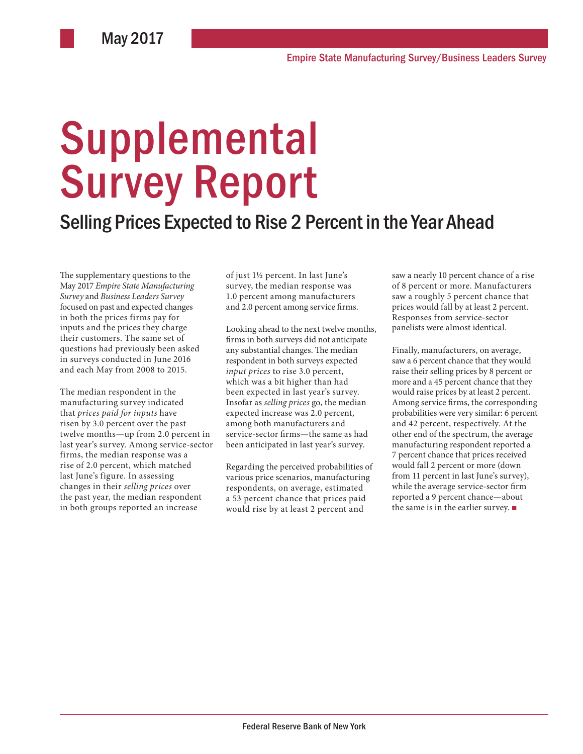# **Supplemental** Survey Report

## Selling Prices Expected to Rise 2 Percent in the Year Ahead

The supplementary questions to the May 2017 *Empire State Manufacturing Survey* and *Business Leaders Survey* focused on past and expected changes in both the prices firms pay for inputs and the prices they charge their customers. The same set of questions had previously been asked in surveys conducted in June 2016 and each May from 2008 to 2015.

The median respondent in the manufacturing survey indicated that *prices paid for inputs* have risen by 3.0 percent over the past twelve months—up from 2.0 percent in last year's survey. Among service-sector firms, the median response was a rise of 2.0 percent, which matched last June's figure. In assessing changes in their *selling prices* over the past year, the median respondent in both groups reported an increase

of just 1½ percent. In last June's survey, the median response was 1.0 percent among manufacturers and 2.0 percent among service firms.

Looking ahead to the next twelve months, firms in both surveys did not anticipate any substantial changes. The median respondent in both surveys expected *input prices* to rise 3.0 percent, which was a bit higher than had been expected in last year's survey. Insofar as *selling prices* go, the median expected increase was 2.0 percent, among both manufacturers and service-sector firms—the same as had been anticipated in last year's survey.

Regarding the perceived probabilities of various price scenarios, manufacturing respondents, on average, estimated a 53 percent chance that prices paid would rise by at least 2 percent and

saw a nearly 10 percent chance of a rise of 8 percent or more. Manufacturers saw a roughly 5 percent chance that prices would fall by at least 2 percent. Responses from service-sector panelists were almost identical.

Finally, manufacturers, on average, saw a 6 percent chance that they would raise their selling prices by 8 percent or more and a 45 percent chance that they would raise prices by at least 2 percent. Among service firms, the corresponding probabilities were very similar: 6 percent and 42 percent, respectively. At the other end of the spectrum, the average manufacturing respondent reported a 7 percent chance that prices received would fall 2 percent or more (down from 11 percent in last June's survey), while the average service-sector firm reported a 9 percent chance—about the same is in the earlier survey. ■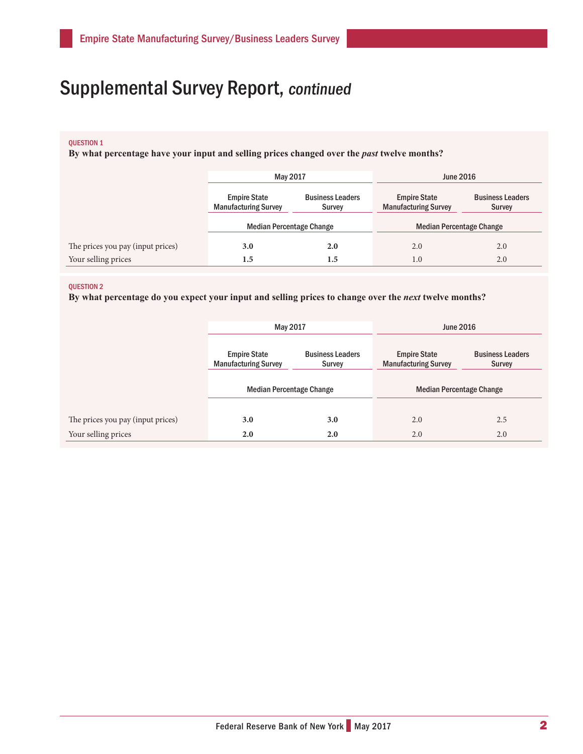#### QUESTION 1

**By what percentage have your input and selling prices changed over the** *past* **twelve months?** 

|                                   | May 2017                                           |                                   | <b>June 2016</b>                                   |                                   |
|-----------------------------------|----------------------------------------------------|-----------------------------------|----------------------------------------------------|-----------------------------------|
|                                   | <b>Empire State</b><br><b>Manufacturing Survey</b> | <b>Business Leaders</b><br>Survey | <b>Empire State</b><br><b>Manufacturing Survey</b> | <b>Business Leaders</b><br>Survey |
|                                   | <b>Median Percentage Change</b>                    |                                   | <b>Median Percentage Change</b>                    |                                   |
| The prices you pay (input prices) | 3.0                                                | 2.0                               | 2.0                                                | 2.0                               |
| Your selling prices               | $1.5\,$                                            | $1.5\,$                           | 1.0                                                | 2.0                               |

#### QUESTION 2

**By what percentage do you expect your input and selling prices to change over the** *next* **twelve months?** 

|                                   | May 2017                                           |                                   | <b>June 2016</b>                                   |                                   |
|-----------------------------------|----------------------------------------------------|-----------------------------------|----------------------------------------------------|-----------------------------------|
|                                   | <b>Empire State</b><br><b>Manufacturing Survey</b> | <b>Business Leaders</b><br>Survey | <b>Empire State</b><br><b>Manufacturing Survey</b> | <b>Business Leaders</b><br>Survey |
|                                   | <b>Median Percentage Change</b>                    |                                   | <b>Median Percentage Change</b>                    |                                   |
| The prices you pay (input prices) | 3.0                                                | 3.0                               | 2.0                                                | 2.5                               |
| Your selling prices               | 2.0                                                | 2.0                               | 2.0                                                | 2.0                               |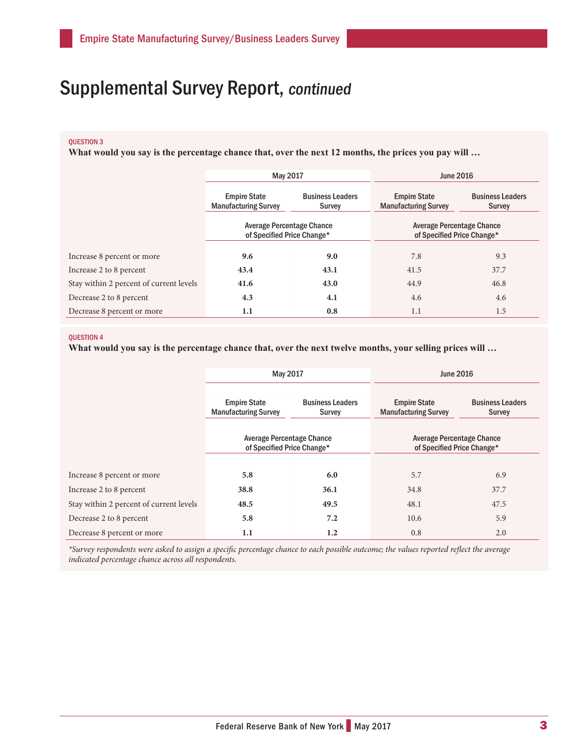## QUESTION 3

**What would you say is the percentage chance that, over the next 12 months, the prices you pay will …**

|                                         | May 2017                                                       |                                   | <b>June 2016</b>                                        |                                          |
|-----------------------------------------|----------------------------------------------------------------|-----------------------------------|---------------------------------------------------------|------------------------------------------|
|                                         | <b>Empire State</b><br><b>Manufacturing Survey</b>             | <b>Business Leaders</b><br>Survey | <b>Empire State</b><br><b>Manufacturing Survey</b>      | <b>Business Leaders</b><br><b>Survey</b> |
|                                         | <b>Average Percentage Chance</b><br>of Specified Price Change* |                                   | Average Percentage Chance<br>of Specified Price Change* |                                          |
| Increase 8 percent or more              | 9.6                                                            | 9.0                               | 7.8                                                     | 9.3                                      |
| Increase 2 to 8 percent                 | 43.4                                                           | 43.1                              | 41.5                                                    | 37.7                                     |
| Stay within 2 percent of current levels | 41.6                                                           | 43.0                              | 44.9                                                    | 46.8                                     |
| Decrease 2 to 8 percent                 | 4.3                                                            | 4.1                               | 4.6                                                     | 4.6                                      |
| Decrease 8 percent or more              | 1.1                                                            | 0.8                               | 1.1                                                     | 1.5                                      |

#### **OUESTION 4**

**What would you say is the percentage chance that, over the next twelve months, your selling prices will …** 

|                                         | May 2017                                                       |                                   | <b>June 2016</b>                                        |                                   |
|-----------------------------------------|----------------------------------------------------------------|-----------------------------------|---------------------------------------------------------|-----------------------------------|
|                                         | <b>Empire State</b><br><b>Manufacturing Survey</b>             | <b>Business Leaders</b><br>Survey | <b>Empire State</b><br><b>Manufacturing Survey</b>      | <b>Business Leaders</b><br>Survey |
|                                         | <b>Average Percentage Chance</b><br>of Specified Price Change* |                                   | Average Percentage Chance<br>of Specified Price Change* |                                   |
| Increase 8 percent or more              | 5.8                                                            | 6.0                               | 5.7                                                     | 6.9                               |
| Increase 2 to 8 percent                 | 38.8                                                           | 36.1                              | 34.8                                                    | 37.7                              |
| Stay within 2 percent of current levels | 48.5                                                           | 49.5                              | 48.1                                                    | 47.5                              |
| Decrease 2 to 8 percent                 | 5.8                                                            | 7.2                               | 10.6                                                    | 5.9                               |
| Decrease 8 percent or more              | 1.1                                                            | 1.2                               | 0.8                                                     | 2.0                               |

*\*Survey respondents were asked to assign a specific percentage chance to each possible outcome; the values reported reflect the average indicated percentage chance across all respondents.*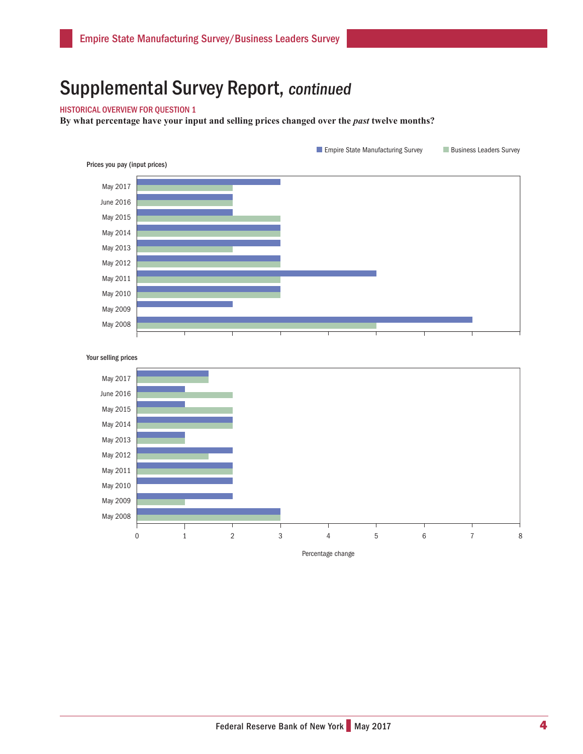### HISTORICAL OVERVIEW FOR QUESTION 1

By what percentage have your input and selling prices changed over the *past* twelve months?







Percentage change